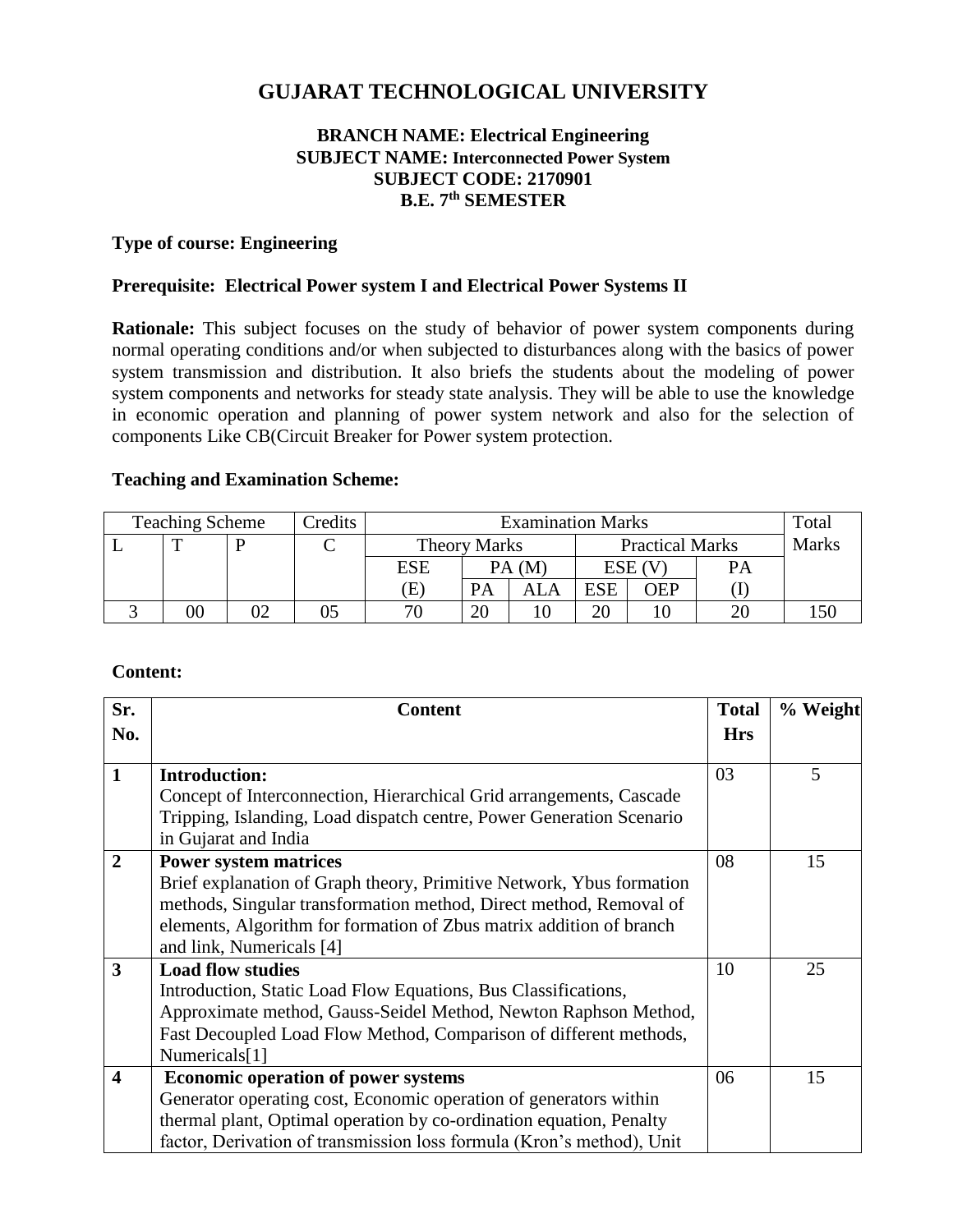# **GUJARAT TECHNOLOGICAL UNIVERSITY**

### **BRANCH NAME: Electrical Engineering SUBJECT NAME: Interconnected Power System SUBJECT CODE: 2170901 B.E. 7 th SEMESTER**

#### **Type of course: Engineering**

#### **Prerequisite: Electrical Power system I and Electrical Power Systems II**

**Rationale:** This subject focuses on the study of behavior of power system components during normal operating conditions and/or when subjected to disturbances along with the basics of power system transmission and distribution. It also briefs the students about the modeling of power system components and networks for steady state analysis. They will be able to use the knowledge in economic operation and planning of power system network and also for the selection of components Like CB(Circuit Breaker for Power system protection.

#### **Teaching and Examination Scheme:**

| <b>Teaching Scheme</b> |        |  | Credits | <b>Examination Marks</b> |       |                        |            |     | Total        |  |
|------------------------|--------|--|---------|--------------------------|-------|------------------------|------------|-----|--------------|--|
|                        | m      |  |         | <b>Theory Marks</b>      |       | <b>Practical Marks</b> |            |     | <b>Marks</b> |  |
|                        |        |  |         | ESE                      | PA(M) |                        | ESE (V     |     | PА           |  |
|                        |        |  |         | Έ                        |       |                        | <b>ESE</b> | OEP |              |  |
|                        | $00\,$ |  |         | 71                       | ZU.   |                        | റ∩         |     |              |  |

#### **Content:**

| Sr.<br>No.              | <b>Content</b>                                                        |                  | % Weight |  |
|-------------------------|-----------------------------------------------------------------------|------------------|----------|--|
| $\mathbf{1}$            | <b>Introduction:</b>                                                  | <b>Hrs</b><br>03 | 5        |  |
|                         | Concept of Interconnection, Hierarchical Grid arrangements, Cascade   |                  |          |  |
|                         | Tripping, Islanding, Load dispatch centre, Power Generation Scenario  |                  |          |  |
|                         | in Gujarat and India                                                  |                  |          |  |
| $\overline{2}$          | <b>Power system matrices</b>                                          | 08               | 15       |  |
|                         | Brief explanation of Graph theory, Primitive Network, Ybus formation  |                  |          |  |
|                         | methods, Singular transformation method, Direct method, Removal of    |                  |          |  |
|                         | elements, Algorithm for formation of Zbus matrix addition of branch   |                  |          |  |
|                         | and link, Numericals [4]                                              |                  |          |  |
| 3                       | <b>Load flow studies</b>                                              | 10               | 25       |  |
|                         | Introduction, Static Load Flow Equations, Bus Classifications,        |                  |          |  |
|                         | Approximate method, Gauss-Seidel Method, Newton Raphson Method,       |                  |          |  |
|                         | Fast Decoupled Load Flow Method, Comparison of different methods,     |                  |          |  |
|                         | Numericals[1]                                                         |                  |          |  |
| $\overline{\mathbf{4}}$ | <b>Economic operation of power systems</b>                            | 06               | 15       |  |
|                         | Generator operating cost, Economic operation of generators within     |                  |          |  |
|                         | thermal plant, Optimal operation by co-ordination equation, Penalty   |                  |          |  |
|                         | factor, Derivation of transmission loss formula (Kron's method), Unit |                  |          |  |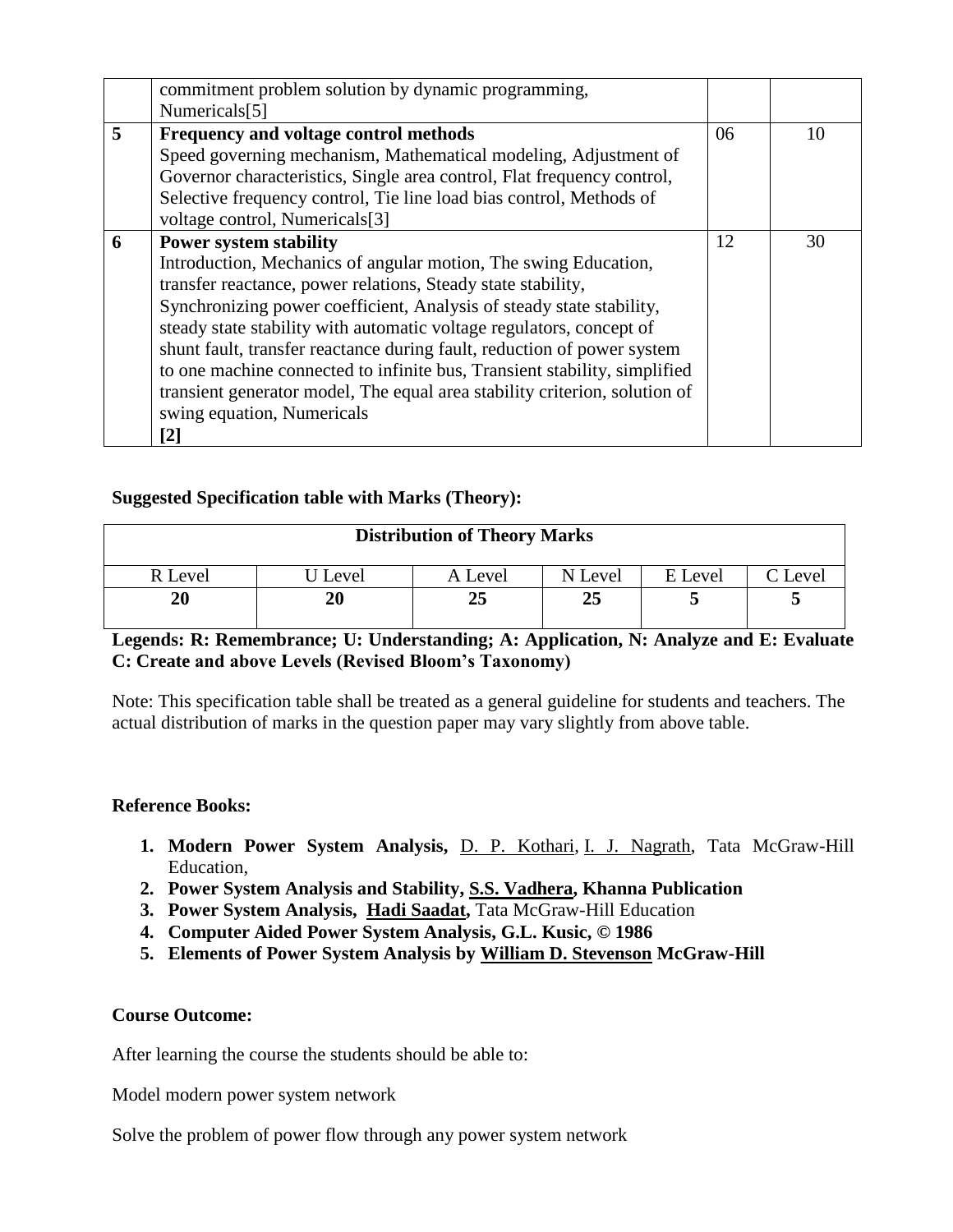|   | commitment problem solution by dynamic programming,<br>Numericals <sup>[5]</sup>                                                                                                                                                                                                                                                                                                                                                                                                                                                                                                            |    |    |
|---|---------------------------------------------------------------------------------------------------------------------------------------------------------------------------------------------------------------------------------------------------------------------------------------------------------------------------------------------------------------------------------------------------------------------------------------------------------------------------------------------------------------------------------------------------------------------------------------------|----|----|
| 5 | Frequency and voltage control methods<br>Speed governing mechanism, Mathematical modeling, Adjustment of<br>Governor characteristics, Single area control, Flat frequency control,<br>Selective frequency control, Tie line load bias control, Methods of<br>voltage control, Numericals <sup>[3]</sup>                                                                                                                                                                                                                                                                                     | 06 | 10 |
| 6 | <b>Power system stability</b><br>Introduction, Mechanics of angular motion, The swing Education,<br>transfer reactance, power relations, Steady state stability,<br>Synchronizing power coefficient, Analysis of steady state stability,<br>steady state stability with automatic voltage regulators, concept of<br>shunt fault, transfer reactance during fault, reduction of power system<br>to one machine connected to infinite bus, Transient stability, simplified<br>transient generator model, The equal area stability criterion, solution of<br>swing equation, Numericals<br>[2] | 12 | 30 |

### **Suggested Specification table with Marks (Theory):**

| <b>Distribution of Theory Marks</b> |       |         |         |         |         |  |  |  |
|-------------------------------------|-------|---------|---------|---------|---------|--|--|--|
| R Level                             | Level | A Level | N Level | E Level | C Level |  |  |  |
| 20                                  | 20    | 25      | 25      |         |         |  |  |  |

### **Legends: R: Remembrance; U: Understanding; A: Application, N: Analyze and E: Evaluate C: Create and above Levels (Revised Bloom's Taxonomy)**

Note: This specification table shall be treated as a general guideline for students and teachers. The actual distribution of marks in the question paper may vary slightly from above table.

#### **Reference Books:**

- **1. Modern Power System Analysis,** [D. P. Kothari,](https://www.google.co.in/search?tbo=p&tbm=bks&q=inauthor:%22D.+P.+Kothari%22) [I. J. Nagrath,](https://www.google.co.in/search?tbo=p&tbm=bks&q=inauthor:%22I.+J.+Nagrath%22) Tata McGraw-Hill Education,
- **2. Power System Analysis and Stability, [S.S. Vadhera,](http://www.khannapublishers.in/subject_sub_category_detail.php?bookID=101) Khanna Publication**
- **3. Power System Analysis, [Hadi Saadat,](https://www.google.co.in/search?tbo=p&tbm=bks&q=inauthor:%22Hadi+Saadat%22)** Tata McGraw-Hill Education
- **4. Computer Aided Power System Analysis, G.L. Kusic, © 1986**
- **5. Elements of Power System Analysis by [William D. Stevenson](https://www.google.co.in/search?tbo=p&tbm=bks&q=inauthor:%22William+D.+Stevenson%22) McGraw-Hill**

#### **Course Outcome:**

After learning the course the students should be able to:

Model modern power system network

Solve the problem of power flow through any power system network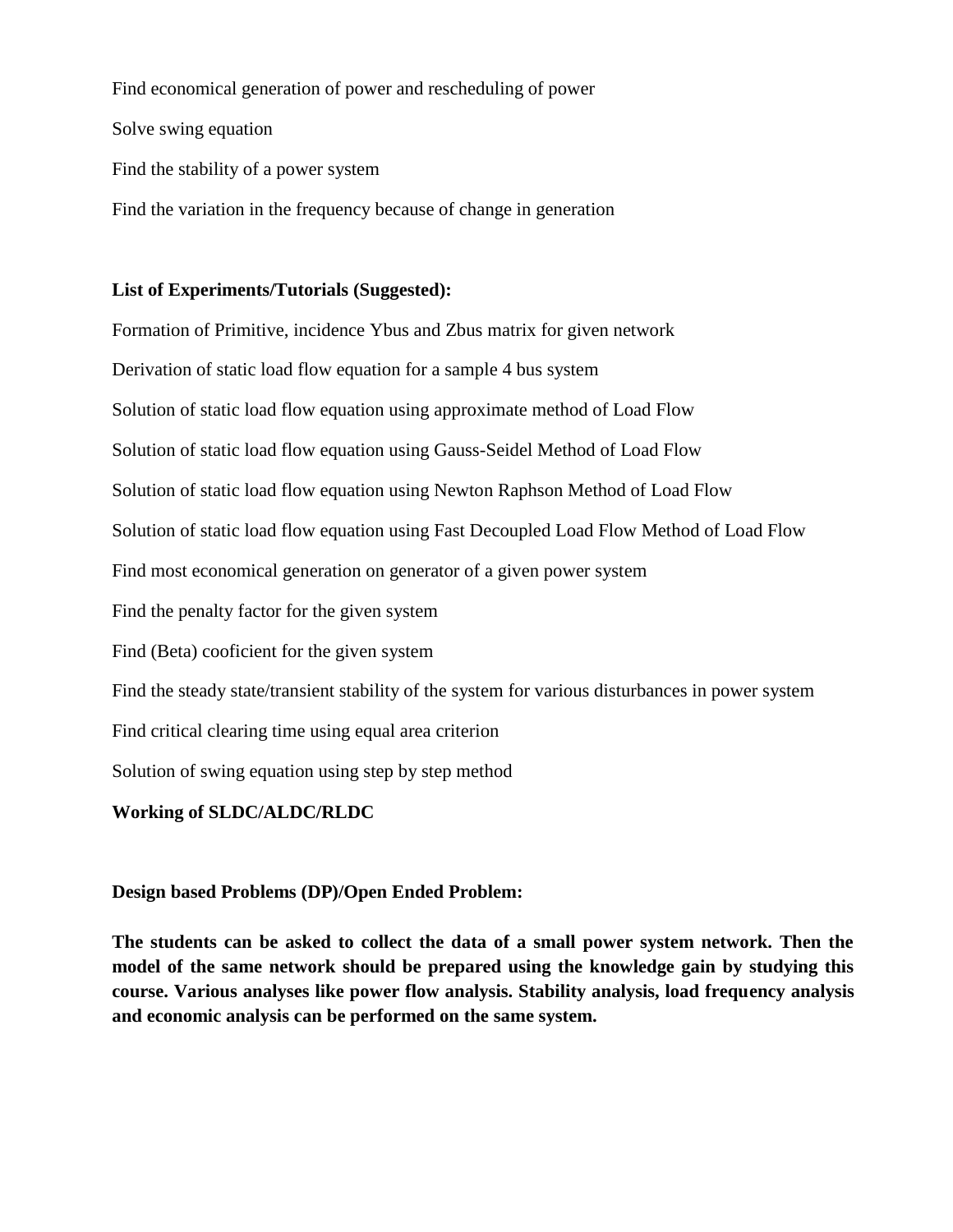Find economical generation of power and rescheduling of power Solve swing equation Find the stability of a power system Find the variation in the frequency because of change in generation

### **List of Experiments/Tutorials (Suggested):**

Formation of Primitive, incidence Ybus and Zbus matrix for given network Derivation of static load flow equation for a sample 4 bus system Solution of static load flow equation using approximate method of Load Flow Solution of static load flow equation using Gauss-Seidel Method of Load Flow Solution of static load flow equation using Newton Raphson Method of Load Flow Solution of static load flow equation using Fast Decoupled Load Flow Method of Load Flow Find most economical generation on generator of a given power system Find the penalty factor for the given system Find (Beta) cooficient for the given system Find the steady state/transient stability of the system for various disturbances in power system Find critical clearing time using equal area criterion Solution of swing equation using step by step method **Working of SLDC/ALDC/RLDC** 

**Design based Problems (DP)/Open Ended Problem:**

**The students can be asked to collect the data of a small power system network. Then the model of the same network should be prepared using the knowledge gain by studying this course. Various analyses like power flow analysis. Stability analysis, load frequency analysis and economic analysis can be performed on the same system.**